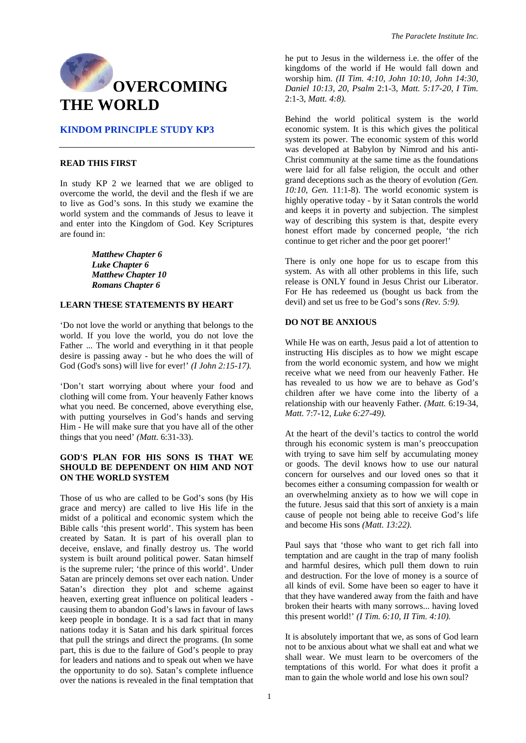

# **KINDOM PRINCIPLE STUDY KP3**

### **READ THIS FIRST**

In study KP 2 we learned that we are obliged to overcome the world, the devil and the flesh if we are to live as God's sons. In this study we examine the world system and the commands of Jesus to leave it and enter into the Kingdom of God. Key Scriptures are found in:

> *Matthew Chapter 6 Luke Chapter 6 Matthew Chapter 10 Romans Chapter 6*

## **LEARN THESE STATEMENTS BY HEART**

'Do not love the world or anything that belongs to the world. If you love the world, you do not love the Father ... The world and everything in it that people desire is passing away - but he who does the will of God (God's sons) will live for ever!' *(I John 2:15-17).* 

'Don't start worrying about where your food and clothing will come from. Your heavenly Father knows what you need. Be concerned, above everything else, with putting yourselves in God's hands and serving Him - He will make sure that you have all of the other things that you need' *(Matt.* 6:31-33).

## **GOD'S PLAN FOR HIS SONS IS THAT WE SHOULD BE DEPENDENT ON HIM AND NOT ON THE WORLD SYSTEM**

Those of us who are called to be God's sons (by His grace and mercy) are called to live His life in the midst of a political and economic system which the Bible calls 'this present world'. This system has been created by Satan. It is part of his overall plan to deceive, enslave, and finally destroy us. The world system is built around political power. Satan himself is the supreme ruler; 'the prince of this world'. Under Satan are princely demons set over each nation. Under Satan's direction they plot and scheme against heaven, exerting great influence on political leaders causing them to abandon God's laws in favour of laws keep people in bondage. It is a sad fact that in many nations today it is Satan and his dark spiritual forces that pull the strings and direct the programs. (In some part, this is due to the failure of God's people to pray for leaders and nations and to speak out when we have the opportunity to do so). Satan's complete influence over the nations is revealed in the final temptation that

he put to Jesus in the wilderness i.e. the offer of the kingdoms of the world if He would fall down and worship him. *(II Tim. 4:10, John 10:10, John 14:30, Daniel 10:13, 20, Psalm* 2:1-3, *Matt. 5:17-20, I Tim.*  2:1-3, *Matt. 4:8).* 

Behind the world political system is the world economic system. It is this which gives the political system its power. The economic system of this world was developed at Babylon by Nimrod and his anti-Christ community at the same time as the foundations were laid for all false religion, the occult and other grand deceptions such as the theory of evolution *(Gen. 10:10, Gen.* 11:1-8). The world economic system is highly operative today - by it Satan controls the world and keeps it in poverty and subjection. The simplest way of describing this system is that, despite every honest effort made by concerned people, 'the rich continue to get richer and the poor get poorer!'

There is only one hope for us to escape from this system. As with all other problems in this life, such release is ONLY found in Jesus Christ our Liberator. For He has redeemed us (bought us back from the devil) and set us free to be God's sons *(Rev. 5:9).* 

### **DO NOT BE ANXIOUS**

While He was on earth, Jesus paid a lot of attention to instructing His disciples as to how we might escape from the world economic system, and how we might receive what we need from our heavenly Father. He has revealed to us how we are to behave as God's children after we have come into the liberty of a relationship with our heavenly Father. *(Matt.* 6:19-34, *Matt.* 7:7-12, *Luke 6:27-49).* 

At the heart of the devil's tactics to control the world through his economic system is man's preoccupation with trying to save him self by accumulating money or goods. The devil knows how to use our natural concern for ourselves and our loved ones so that it becomes either a consuming compassion for wealth or an overwhelming anxiety as to how we will cope in the future. Jesus said that this sort of anxiety is a main cause of people not being able to receive God's life and become His sons *(Matt. 13:22).* 

Paul says that 'those who want to get rich fall into temptation and are caught in the trap of many foolish and harmful desires, which pull them down to ruin and destruction. For the love of money is a source of all kinds of evil. Some have been so eager to have it that they have wandered away from the faith and have broken their hearts with many sorrows... having loved this present world!' *(I Tim. 6:10, II Tim. 4:10).* 

It is absolutely important that we, as sons of God learn not to be anxious about what we shall eat and what we shall wear. We must learn to be overcomers of the temptations of this world. For what does it profit a man to gain the whole world and lose his own soul?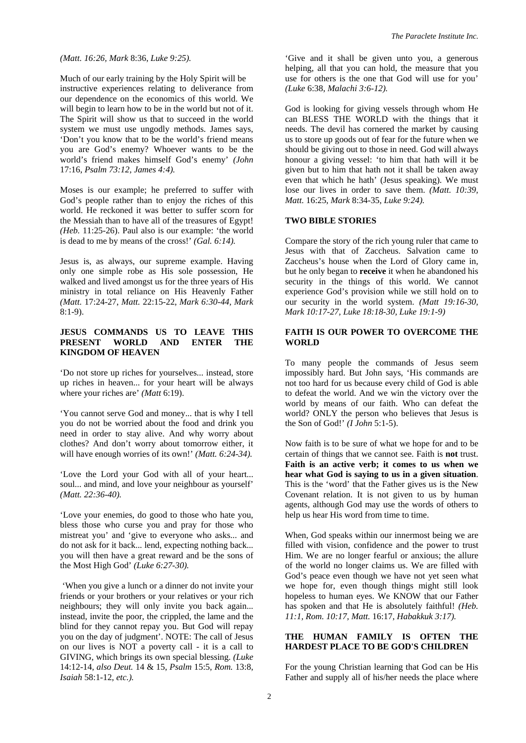#### *(Matt. 16:26, Mark* 8:36, *Luke 9:25).*

Much of our early training by the Holy Spirit will be instructive experiences relating to deliverance from our dependence on the economics of this world. We will begin to learn how to be in the world but not of it. The Spirit will show us that to succeed in the world system we must use ungodly methods. James says, 'Don't you know that to be the world's friend means you are God's enemy? Whoever wants to be the world's friend makes himself God's enemy' *(John*  17:16, *Psalm 73:12, James 4:4).* 

Moses is our example; he preferred to suffer with God's people rather than to enjoy the riches of this world. He reckoned it was better to suffer scorn for the Messiah than to have all of the treasures of Egypt! *(Heb.* 11:25-26). Paul also is our example: 'the world is dead to me by means of the cross!' *(Gal. 6:14).* 

Jesus is, as always, our supreme example. Having only one simple robe as His sole possession, He walked and lived amongst us for the three years of His ministry in total reliance on His Heavenly Father *(Matt.* 17:24-27, *Matt.* 22:15-22, *Mark 6:30-44, Mark*  8:1-9).

## **JESUS COMMANDS US TO LEAVE THIS PRESENT WORLD AND ENTER THE KINGDOM OF HEAVEN**

'Do not store up riches for yourselves... instead, store up riches in heaven... for your heart will be always where your riches are' *(Matt* 6:19).

'You cannot serve God and money... that is why I tell you do not be worried about the food and drink you need in order to stay alive. And why worry about clothes? And don't worry about tomorrow either, it will have enough worries of its own!' *(Matt. 6:24-34).* 

'Love the Lord your God with all of your heart... soul... and mind, and love your neighbour as yourself' *(Matt. 22:36-40).* 

'Love your enemies, do good to those who hate you, bless those who curse you and pray for those who mistreat you' and 'give to everyone who asks... and do not ask for it back... lend, expecting nothing back... you will then have a great reward and be the sons of the Most High God' *(Luke 6:27-30).* 

 'When you give a lunch or a dinner do not invite your friends or your brothers or your relatives or your rich neighbours; they will only invite you back again... instead, invite the poor, the crippled, the lame and the blind for they cannot repay you. But God will repay you on the day of judgment'. NOTE: The call of Jesus on our lives is NOT a poverty call - it is a call to GIVING, which brings its own special blessing. *(Luke*  14:12-14, *also Deut.* 14 & 15, *Psalm* 15:5, *Rom.* 13:8, *Isaiah* 58:1-12, *etc.).* 

'Give and it shall be given unto you, a generous helping, all that you can hold, the measure that you use for others is the one that God will use for you' *(Luke* 6:38, *Malachi 3:6-12).* 

God is looking for giving vessels through whom He can BLESS THE WORLD with the things that it needs. The devil has cornered the market by causing us to store up goods out of fear for the future when we should be giving out to those in need. God will always honour a giving vessel: 'to him that hath will it be given but to him that hath not it shall be taken away even that which he hath' (Jesus speaking). We must lose our lives in order to save them. *(Matt. 10:39, lose our lives in order to save them. <i>(Matt. 10:39, lose our lives in order to save them. // Matt.* 16:25, *Mark* 8:34-35, *Luke 9:24).* 

### **TWO BIBLE STORIES**

Compare the story of the rich young ruler that came to Jesus with that of Zaccheus. Salvation came to Zaccheus's house when the Lord of Glory came in, but he only began to **receive** it when he abandoned his security in the things of this world. We cannot experience God's provision while we still hold on to our security in the world system. *(Matt 19:16-30, Mark 10:17-27, Luke 18:18-30, Luke 19:1-9)* 

## **FAITH IS OUR POWER TO OVERCOME THE WORLD**

To many people the commands of Jesus seem impossibly hard. But John says, 'His commands are not too hard for us because every child of God is able to defeat the world. And we win the victory over the world by means of our faith. Who can defeat the world? ONLY the person who believes that Jesus is the Son of God!' *(I John* 5:1-5).

Now faith is to be sure of what we hope for and to be certain of things that we cannot see. Faith is **not** trust. **Faith is an active verb; it comes to us when we hear what God is saying to us in a given situation**. This is the 'word' that the Father gives us is the New Covenant relation. It is not given to us by human agents, although God may use the words of others to help us hear His word from time to time.

When, God speaks within our innermost being we are filled with vision, confidence and the power to trust Him. We are no longer fearful or anxious; the allure of the world no longer claims us. We are filled with God's peace even though we have not yet seen what we hope for, even though things might still look hopeless to human eyes. We KNOW that our Father has spoken and that He is absolutely faithful! *(Heb. 11:1, Rom. 10:17, Matt.* 16:17, *Habakkuk 3:17).* 

### **THE HUMAN FAMILY IS OFTEN THE HARDEST PLACE TO BE GOD'S CHILDREN**

For the young Christian learning that God can be His Father and supply all of his/her needs the place where